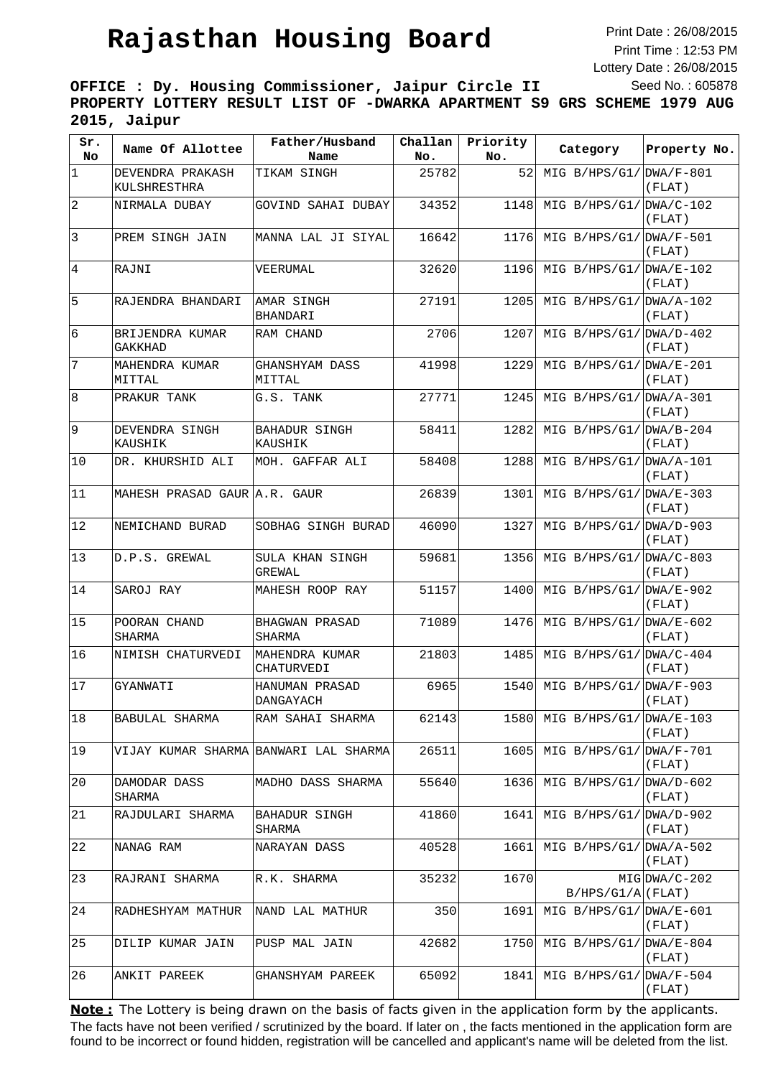Print Date : 26/08/2015 Print Time : 12:53 PM Lottery Date : 26/08/2015 Seed No. : 605878

**OFFICE : Dy. Housing Commissioner, Jaipur Circle II PROPERTY LOTTERY RESULT LIST OF -DWARKA APARTMENT S9 GRS SCHEME 1979 AUG 2015, Jaipur**

| Sr.<br>No       | Name Of Allottee                 | Father/Husband<br>Name                | Challan<br>No. | Priority<br>No. | Category                  | Property No.          |
|-----------------|----------------------------------|---------------------------------------|----------------|-----------------|---------------------------|-----------------------|
| $\vert$ 1       | DEVENDRA PRAKASH<br>KULSHRESTHRA | TIKAM SINGH                           | 25782          | 52              | MIG $B/HPS/G1/ DWA/F-801$ | (FLAT)                |
| $\vert$ 2       | NIRMALA DUBAY                    | GOVIND SAHAI DUBAY                    | 34352          | 1148            | MIG $B/HPS/G1/DWA/C-102$  | (FLAT)                |
| $\vert$ 3       | PREM SINGH JAIN                  | MANNA LAL JI SIYAL                    | 16642          | 1176            | MIG B/HPS/G1/             | DWA/F-501<br>(FLAT)   |
| $\overline{4}$  | RAJNI                            | VEERUMAL                              | 32620          | 1196            | MIG $B/HPS/G1/DWA/E-102$  | (FLAT)                |
| 5               | RAJENDRA BHANDARI                | AMAR SINGH<br>BHANDARI                | 27191          | 1205            | MIG $B/HPS/G1/DWA/A-102$  | (FLAT)                |
| $6\overline{6}$ | BRIJENDRA KUMAR<br>GAKKHAD       | RAM CHAND                             | 2706           | 1207            | MIG $B/HPS/G1/DWA/D-402$  | (FLAT)                |
| 7               | MAHENDRA KUMAR<br>MITTAL         | GHANSHYAM DASS<br>MITTAL              | 41998          | 1229            | MIG $B/HPS/G1/DWA/E-201$  | (FLAT)                |
| 8               | PRAKUR TANK                      | G.S. TANK                             | 27771          | 1245            | MIG $B/HPS/G1/DWA/A-301$  | (FLAT)                |
| 9               | DEVENDRA SINGH<br>KAUSHIK        | BAHADUR SINGH<br>KAUSHIK              | 58411          | 1282            | MIG $B/HPS/G1/IDWA/B-204$ | (FLAT)                |
| 10              | DR. KHURSHID ALI                 | MOH. GAFFAR ALI                       | 58408          | 1288            | MIG $B/HPS/G1/ DWA/A-101$ | (FLAT)                |
| 11              | MAHESH PRASAD GAUR A.R. GAUR     |                                       | 26839          | 1301            | MIG $B/HPS/G1/ DWA/E-303$ | (FLAT)                |
| 12              | NEMICHAND BURAD                  | SOBHAG SINGH BURAD                    | 46090          | 1327            | MIG $B/HPS/G1/DMA/D-903$  | (FLAT)                |
| 13              | D.P.S. GREWAL                    | SULA KHAN SINGH<br>GREWAL             | 59681          | 1356            | MIG $B/HPS/G1/DWA/C-803$  | (FLAT)                |
| 14              | SAROJ RAY                        | MAHESH ROOP RAY                       | 51157          | 1400            | MIG B/HPS/G1/             | $DWA/E-902$<br>(FLAT) |
| 15              | POORAN CHAND<br>SHARMA           | BHAGWAN PRASAD<br>SHARMA              | 71089          | 1476            | MIG $B/HPS/G1/DWA/E-602$  | (FLAT)                |
| 16              | NIMISH CHATURVEDI                | MAHENDRA KUMAR<br>CHATURVEDI          | 21803          | 1485            | MIG $B/HPS/G1/DWA/C-404$  | (FLAT)                |
| 17              | GYANWATI                         | HANUMAN PRASAD<br>DANGAYACH           | 6965           | 1540            | MIG $B/HPS/G1/ DNA/F-903$ | (FLAT)                |
| 18              | BABULAL SHARMA                   | RAM SAHAI SHARMA                      | 62143          | 1580            | MIG $B/HPS/G1/DWA/E-103$  | (FLAT)                |
| 19              |                                  | VIJAY KUMAR SHARMA BANWARI LAL SHARMA | 26511          | 1605            | MIG B/HPS/G1/             | DWA/F-701<br>(FLAT)   |
| 20              | DAMODAR DASS<br>SHARMA           | MADHO DASS SHARMA                     | 55640          | 1636            | MIG B/HPS/G1/             | $DWA/D-602$<br>(FLAT) |
| 21              | RAJDULARI SHARMA                 | <b>BAHADUR SINGH</b><br>SHARMA        | 41860          | 1641            | MIG $B/HPS/G1/DWA/D-902$  | (FLAT)                |
| 22              | NANAG RAM                        | NARAYAN DASS                          | 40528          | 1661            | MIG $B/HPS/G1/DWA/A-502$  | (FLAT)                |
| 23              | RAJRANI SHARMA                   | R.K. SHARMA                           | 35232          | 1670            | $B/HPS/G1/A$ (FLAT)       | $MIG DNA/C-202$       |
| 24              | RADHESHYAM MATHUR                | NAND LAL MATHUR                       | 350            | 1691            | MIG $B/HPS/G1/DWA/E-601$  | (FLAT)                |
| 25              | DILIP KUMAR JAIN                 | PUSP MAL JAIN                         | 42682          | 1750            | MIG B/HPS/G1/             | DWA/E-804<br>(FLAT)   |
| 26              | ANKIT PAREEK                     | GHANSHYAM PAREEK                      | 65092          | 1841            | MIG B/HPS/G1/             | DWA/F-504<br>(FLAT)   |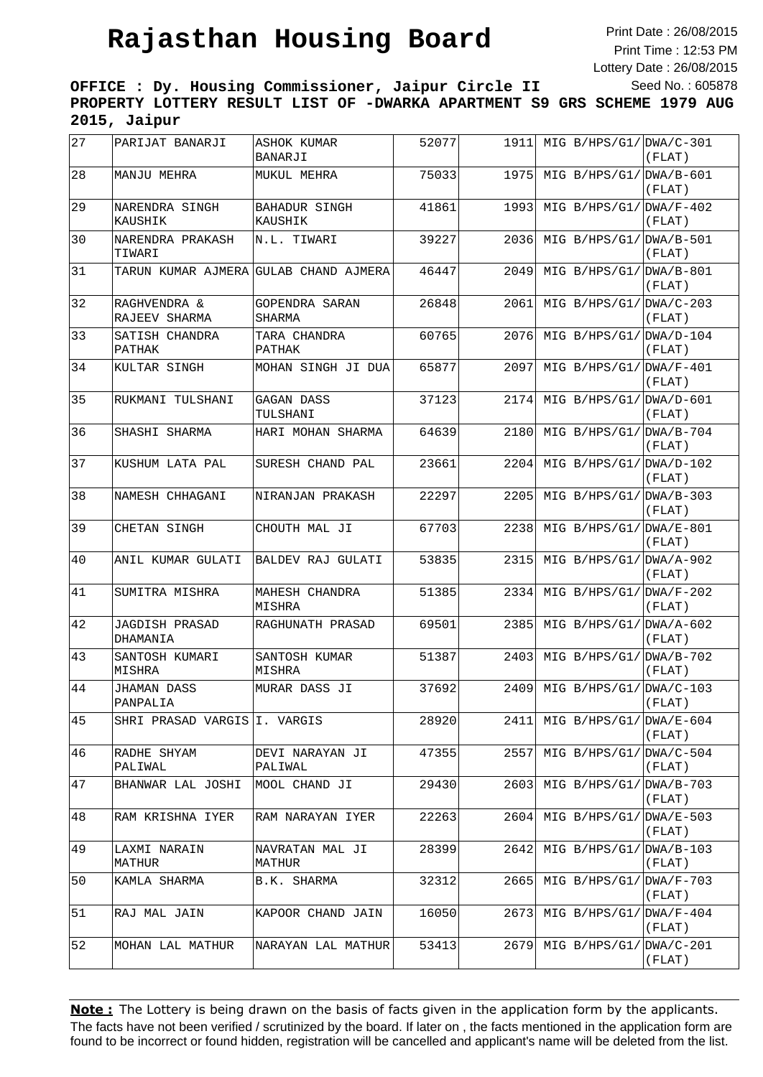Print Date : 26/08/2015 Print Time : 12:53 PM Lottery Date : 26/08/2015 Seed No. : 605878

**OFFICE : Dy. Housing Commissioner, Jaipur Circle II PROPERTY LOTTERY RESULT LIST OF -DWARKA APARTMENT S9 GRS SCHEME 1979 AUG 2015, Jaipur**

| 27 | PARIJAT BANARJI               | ASHOK KUMAR<br>BANARJI                | 52077 | 1911  | MIG $B/HPS/G1/ DWA/C-301$ | (FLAT)                            |
|----|-------------------------------|---------------------------------------|-------|-------|---------------------------|-----------------------------------|
| 28 | MANJU MEHRA                   | MUKUL MEHRA                           | 75033 | 1975  | MIG $B/HPS/G1/DWA/B-601$  | (FLAT)                            |
| 29 | NARENDRA SINGH<br>KAUSHIK     | <b>BAHADUR SINGH</b><br>KAUSHIK       | 41861 | 1993  | MIG $B/HPS/G1/DWA/F-402$  | (FLAT)                            |
| 30 | NARENDRA PRAKASH<br>TIWARI    | N.L. TIWARI                           | 39227 | 2036  | MIG B/HPS/G1/DWA/B-501    | (FLAT)                            |
| 31 |                               | TARUN KUMAR AJMERA GULAB CHAND AJMERA | 46447 | 2049  | $MIG B/HPS/G1/ DWA/B-801$ | (FLAT)                            |
| 32 | RAGHVENDRA &<br>RAJEEV SHARMA | <b>GOPENDRA SARAN</b><br>SHARMA       | 26848 | 2061  | MIG B/HPS/G1/             | $DWA/C-203$<br>(FLAT)             |
| 33 | SATISH CHANDRA<br>PATHAK      | TARA CHANDRA<br>PATHAK                | 60765 | 2076  | $MIG B/HPS/G1/ DWA/D-104$ | (FLAT)                            |
| 34 | KULTAR SINGH                  | MOHAN SINGH JI DUA                    | 65877 | 2097  | MIG $B/HPS/G1/ DWA/F-401$ | (FLAT)                            |
| 35 | RUKMANI TULSHANI              | GAGAN DASS<br>TULSHANI                | 37123 | 2174  | $MIG B/HPS/G1/ DWA/D-601$ | (FLAT)                            |
| 36 | SHASHI SHARMA                 | HARI MOHAN SHARMA                     | 64639 | 2180  | MIG $B/HPS/G1/DWA/B-704$  | (FLAT)                            |
| 37 | KUSHUM LATA PAL               | SURESH CHAND PAL                      | 23661 | 2204  | MIG B/HPS/G1/             | $DWA/D-102$<br>(FLAT)             |
| 38 | NAMESH CHHAGANI               | NIRANJAN PRAKASH                      | 22297 | 2205  | MIG $B/HPS/G1/DWA/B-303$  | (FLAT)                            |
| 39 | CHETAN SINGH                  | CHOUTH MAL JI                         | 67703 | 2238  | $MIG B/HPS/G1/ DWA/E-801$ | (FLAT)                            |
| 40 | ANIL KUMAR GULATI             | BALDEV RAJ GULATI                     | 53835 | 2315  | MIG $B/HPS/G1/ DWA/A-902$ | (FLAT)                            |
| 41 | SUMITRA MISHRA                | MAHESH CHANDRA<br>MISHRA              | 51385 | 2334  | $MIG B/HPS/G1/DMA/F-202$  | (FLAT)                            |
| 42 | JAGDISH PRASAD<br>DHAMANIA    | RAGHUNATH PRASAD                      | 69501 | 2385  | MIG B/HPS/G1/             | $DWA/A-602$<br>(FLAT)             |
| 43 | SANTOSH KUMARI<br>MISHRA      | SANTOSH KUMAR<br>MISHRA               | 51387 | 2403  | MIG B/HPS/G1/             | $DWA/B-702$<br>(FLAT)             |
| 44 | JHAMAN DASS<br>PANPALIA       | MURAR DASS JI                         | 37692 | 2409  | MIG $B/HPS/G1/DWA/C-103$  | $(\mbox{{\sc F}{\sc{\rm LAT}}}$ ) |
| 45 | SHRI PRASAD VARGIS I. VARGIS  |                                       | 28920 | 2411  | MIG B/HPS/G1/ DWA/E-604   | (FLAT)                            |
| 46 | RADHE SHYAM<br>PALIWAL        | DEVI NARAYAN JI<br>PALIWAL            | 47355 | 2557  | MIG $B/HPS/G1/DWA/C-504$  | (FLAT)                            |
| 47 | BHANWAR LAL JOSHI             | MOOL CHAND JI                         | 29430 | 2603  | $MIG B/HPS/G1/ DWA/B-703$ | (FLAT)                            |
| 48 | RAM KRISHNA IYER              | RAM NARAYAN IYER                      | 22263 | 2604  | MIG B/HPS/G1/             | $DWA/E-503$<br>(FLAT)             |
| 49 | LAXMI NARAIN<br>MATHUR        | NAVRATAN MAL JI<br>MATHUR             | 28399 | 26421 | MIG B/HPS/G1/             | $DWA/B-103$<br>(FLAT)             |
| 50 | KAMLA SHARMA                  | B.K. SHARMA                           | 32312 | 2665  | MIG B/HPS/G1/             | $DWA/F-703$<br>(FLAT)             |
| 51 | RAJ MAL JAIN                  | KAPOOR CHAND JAIN                     | 16050 | 2673  | MIG $B/HPS/G1/ DWA/F-404$ | (FLAT)                            |
| 52 | MOHAN LAL MATHUR              | NARAYAN LAL MATHUR                    | 53413 | 26791 | MIG $B/HPS/G1/ DWA/C-201$ | (FLAT)                            |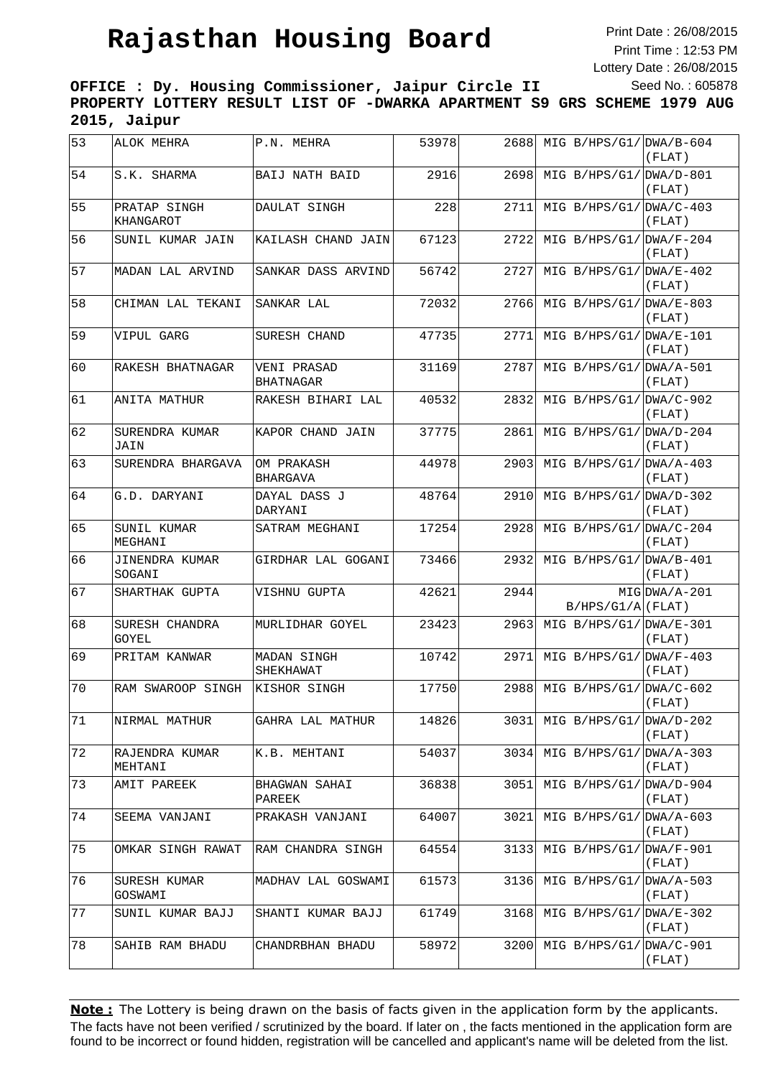Print Date : 26/08/2015 Print Time : 12:53 PM Lottery Date : 26/08/2015 Seed No. : 605878

**OFFICE : Dy. Housing Commissioner, Jaipur Circle II PROPERTY LOTTERY RESULT LIST OF -DWARKA APARTMENT S9 GRS SCHEME 1979 AUG 2015, Jaipur**

| 53 | ALOK MEHRA                | P.N. MEHRA                      | 53978 | 2688 | MIG B/HPS/G1/ DWA/B-604   | (FLAT)                |
|----|---------------------------|---------------------------------|-------|------|---------------------------|-----------------------|
| 54 | S.K. SHARMA               | <b>BAIJ NATH BAID</b>           | 2916  | 2698 | MIG $B/HPS/G1/DWA/D-801$  | (FLAT)                |
| 55 | PRATAP SINGH<br>KHANGAROT | DAULAT SINGH                    | 228   | 2711 | MIG $B/HPS/G1/DWA/C-403$  | (FLAT)                |
| 56 | SUNIL KUMAR JAIN          | KAILASH CHAND JAIN              | 67123 | 2722 | MIG $B/HPS/G1/DWA/F-204$  | (FLAT)                |
| 57 | MADAN LAL ARVIND          | SANKAR DASS ARVIND              | 56742 | 2727 | MIG B/HPS/G1/             | $DWA/E-402$<br>(FLAT) |
| 58 | CHIMAN LAL TEKANI         | SANKAR LAL                      | 72032 | 2766 | MIG B/HPS/G1/             | $DWA/E-803$<br>(FLAT) |
| 59 | VIPUL GARG                | SURESH CHAND                    | 47735 | 2771 | MIG B/HPS/G1/             | DWA/E-101<br>(FLAT)   |
| 60 | RAKESH BHATNAGAR          | VENI PRASAD<br>BHATNAGAR        | 31169 | 2787 | MIG $B/HPS/G1/ DWA/A-501$ | (FLAT)                |
| 61 | ANITA MATHUR              | RAKESH BIHARI LAL               | 40532 | 2832 | MIG B/HPS/G1/ DWA/C-902   | (FLAT)                |
| 62 | SURENDRA KUMAR<br>JAIN    | KAPOR CHAND JAIN                | 37775 | 2861 | MIG $B/HPS/G1/DWA/D-204$  | (FLAT)                |
| 63 | SURENDRA BHARGAVA         | OM PRAKASH<br><b>BHARGAVA</b>   | 44978 | 2903 | MIG B/HPS/G1/             | $DWA/A-403$<br>(FLAT) |
| 64 | G.D. DARYANI              | DAYAL DASS J<br>DARYANI         | 48764 | 2910 | MIG B/HPS/G1/             | $DWA/D-302$<br>(FLAT) |
| 65 | SUNIL KUMAR<br>MEGHANI    | SATRAM MEGHANI                  | 17254 | 2928 | MIG $B/HPS/G1/DWA/C-204$  | (FLAT)                |
| 66 | JINENDRA KUMAR<br>SOGANI  | GIRDHAR LAL GOGANI              | 73466 | 2932 | MIG $B/HPS/G1/ DWA/B-401$ | (FLAT)                |
| 67 | SHARTHAK GUPTA            | VISHNU GUPTA                    | 42621 | 2944 | $B/HPS/G1/A$ (FLAT)       | $MIG DNA/A-201$       |
| 68 | SURESH CHANDRA<br>GOYEL   | MURLIDHAR GOYEL                 | 23423 | 2963 | MIG $B/HPS/G1/DWA/E-301$  | (FLAT)                |
| 69 | PRITAM KANWAR             | <b>MADAN SINGH</b><br>SHEKHAWAT | 10742 | 2971 | MIG $B/HPS/G1/ DWA/F-403$ | (FLAT)                |
| 70 | RAM SWAROOP SINGH         | KISHOR SINGH                    | 17750 | 2988 | MIG $B/HPS/G1/DWA/C-602$  | (FLAT)                |
| 71 | NIRMAL MATHUR             | GAHRA LAL MATHUR                | 14826 | 3031 | MIG B/HPS/G1/ DWA/D-202   | (FLAT)                |
| 72 | RAJENDRA KUMAR<br>MEHTANI | K.B. MEHTANI                    | 54037 | 3034 | MIG $B/HPS/G1/ DWA/A-303$ | (FLAT)                |
| 73 | AMIT PAREEK               | BHAGWAN SAHAI<br>PAREEK         | 36838 | 3051 | MIG $B/HPS/G1/DWA/D-904$  | (FLAT)                |
| 74 | SEEMA VANJANI             | PRAKASH VANJANI                 | 64007 | 3021 | MIG B/HPS/G1/             | $DWA/A-603$<br>(FLAT) |
| 75 | OMKAR SINGH RAWAT         | RAM CHANDRA SINGH               | 64554 | 3133 | MIG B/HPS/G1/             | $DWA/F-901$<br>(FLAT) |
| 76 | SURESH KUMAR<br>GOSWAMI   | MADHAV LAL GOSWAMI              | 61573 | 3136 | MIG B/HPS/G1/             | $DWA/A-503$<br>(FLAT) |
| 77 | SUNIL KUMAR BAJJ          | SHANTI KUMAR BAJJ               | 61749 | 3168 | MIG $B/HPS/G1/ DWA/E-302$ | (FLAT)                |
| 78 | SAHIB RAM BHADU           | CHANDRBHAN BHADU                | 58972 | 3200 | MIG B/HPS/G1/             | DWA/C-901<br>(FLAT)   |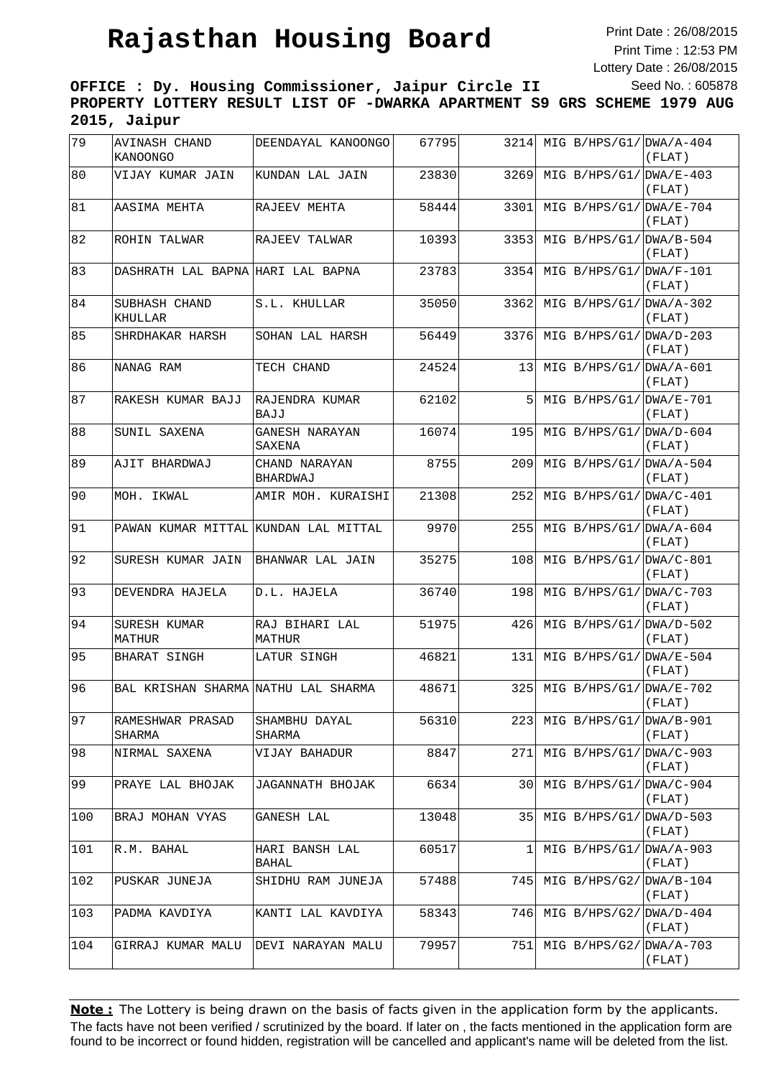Print Date : 26/08/2015 Print Time : 12:53 PM Lottery Date : 26/08/2015 Seed No. : 605878

**OFFICE : Dy. Housing Commissioner, Jaipur Circle II PROPERTY LOTTERY RESULT LIST OF -DWARKA APARTMENT S9 GRS SCHEME 1979 AUG 2015, Jaipur**

| 79  | AVINASH CHAND<br><b>KANOONGO</b>     | DEENDAYAL KANOONGO            | 67795 | 3214 | MIG $B/HPS/G1/ DNA/A-404$ | (FLAT)                              |
|-----|--------------------------------------|-------------------------------|-------|------|---------------------------|-------------------------------------|
| 80  | VIJAY KUMAR JAIN                     | KUNDAN LAL JAIN               | 23830 | 3269 | MIG $B/HPS/G1/DWA/E-403$  | (FLAT)                              |
| 81  | AASIMA MEHTA                         | RAJEEV MEHTA                  | 58444 | 3301 | MIG $B/HPS/G1/DWA/E-704$  | (FLAT)                              |
| 82  | ROHIN TALWAR                         | RAJEEV TALWAR                 | 10393 | 3353 | MIG $B/HPS/G1/DWA/B-504$  | (FLAT)                              |
| 83  | DASHRATH LAL BAPNA HARI LAL BAPNA    |                               | 23783 | 3354 | MIG B/HPS/G1/             | $DWA/F-101$<br>(FLAT)               |
| 84  | SUBHASH CHAND<br>KHULLAR             | S.L. KHULLAR                  | 35050 | 3362 | MIG B/HPS/G1/             | $DWA/A-302$<br>(FLAT)               |
| 85  | SHRDHAKAR HARSH                      | SOHAN LAL HARSH               | 56449 | 3376 | MIG $B/HPS/G1/DWA/D-203$  | (FLAT)                              |
| 86  | NANAG RAM                            | TECH CHAND                    | 24524 | 13   | MIG $B/HPS/G1/ DWA/A-601$ | (FLAT)                              |
| 87  | RAKESH KUMAR BAJJ                    | RAJENDRA KUMAR<br><b>BAJJ</b> | 62102 | 5    | MIG B/HPS/G1/ DWA/E-701   | (FLAT)                              |
| 88  | SUNIL SAXENA                         | GANESH NARAYAN<br>SAXENA      | 16074 | 195  | MIG $B/HPS/G1/DWA/D-604$  | (FLAT)                              |
| 89  | AJIT BHARDWAJ                        | CHAND NARAYAN<br>BHARDWAJ     | 8755  | 209  | MIG B/HPS/G1/             | $DWA/A-504$<br>(FLAT)               |
| 90  | MOH. IKWAL                           | AMIR MOH. KURAISHI            | 21308 | 252  | MIG $B/HPS/G1/DWA/C-401$  | (FLAT)                              |
| 91  | PAWAN KUMAR MITTAL KUNDAN LAL MITTAL |                               | 9970  | 255  |                           | MIG $B/HPS/G1/DWA/A-604$<br>(FLAT)  |
| 92  | SURESH KUMAR JAIN                    | BHANWAR LAL JAIN              | 35275 | 108  | MIG B/HPS/G1/ DWA/C-801   | (FLAT)                              |
| 93  | DEVENDRA HAJELA                      | D.L. HAJELA                   | 36740 | 198  | MIG B/HPS/G1/ DWA/C-703   | (FLAT)                              |
| 94  | SURESH KUMAR<br>MATHUR               | RAJ BIHARI LAL<br>MATHUR      | 51975 | 426  | MIG B/HPS/G1/             | $DWA/D-502$<br>(FLAT)               |
| 95  | BHARAT SINGH                         | LATUR SINGH                   | 46821 | 131  |                           | MIG $B/HPS/G1/ DNA/E-504$<br>(FLAT) |
| 96  | BAL KRISHAN SHARMA NATHU LAL SHARMA  |                               | 48671 | 325  | MIG $B/HPS/G1/DWA/E-702$  | (FLAT)                              |
| 97  | RAMESHWAR PRASAD<br>SHARMA           | SHAMBHU DAYAL<br>SHARMA       | 56310 | 223  | $MIG B/HPS/G1/ DWA/B-901$ | (FLAT)                              |
| 98  | NIRMAL SAXENA                        | VIJAY BAHADUR                 | 8847  | 271  | MIG $B/HPS/G1/DWA/C-903$  | (FLAT)                              |
| 99  | PRAYE LAL BHOJAK                     | JAGANNATH BHOJAK              | 6634  | 30   | MIG B/HPS/G1/             | $DWA/C-904$<br>(FLAT)               |
| 100 | BRAJ MOHAN VYAS                      | GANESH LAL                    | 13048 | 351  | MIG B/HPS/G1/             | $DWA/D-503$<br>(FLAT)               |
| 101 | R.M. BAHAL                           | HARI BANSH LAL<br>BAHAL       | 60517 | 1    | MIG B/HPS/G1/             | $DWA/A-903$<br>(FLAT)               |
| 102 | PUSKAR JUNEJA                        | SHIDHU RAM JUNEJA             | 57488 | 7451 |                           | MIG $B/HPS/G2/DWA/B-104$<br>(FLAT)  |
| 103 | PADMA KAVDIYA                        | KANTI LAL KAVDIYA             | 58343 | 7461 |                           | MIG $B/HPS/G2/DWA/D-404$<br>(FLAT)  |
| 104 | GIRRAJ KUMAR MALU                    | DEVI NARAYAN MALU             | 79957 | 751  | MIG $B/HPS/G2/DWA/A-703$  | (FLAT)                              |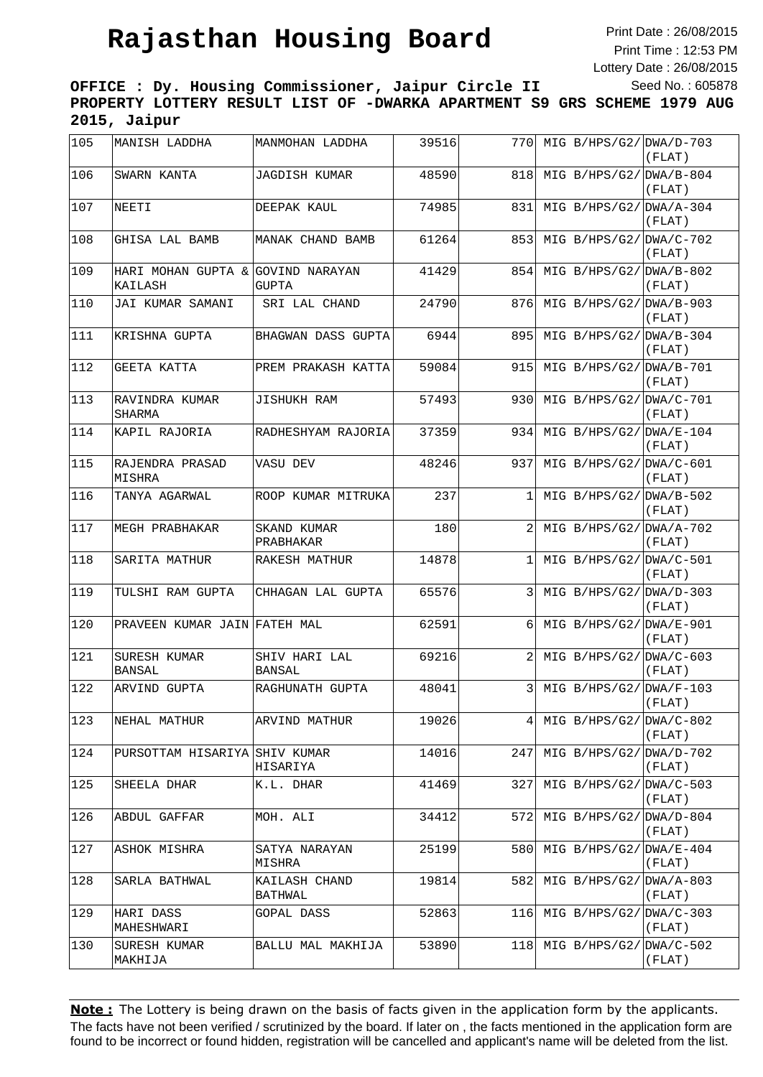Print Date : 26/08/2015 Print Time : 12:53 PM Lottery Date : 26/08/2015 Seed No. : 605878

**OFFICE : Dy. Housing Commissioner, Jaipur Circle II PROPERTY LOTTERY RESULT LIST OF -DWARKA APARTMENT S9 GRS SCHEME 1979 AUG 2015, Jaipur**

| 105 | MANISH LADDHA                                | MANMOHAN LADDHA                | 39516 | 770          | MIG $B/HPS/G2/DWA/D-703$  | (FLAT)                             |
|-----|----------------------------------------------|--------------------------------|-------|--------------|---------------------------|------------------------------------|
| 106 | SWARN KANTA                                  | JAGDISH KUMAR                  | 48590 | 818          | MIG $B/HPS/G2/DWA/B-804$  | (FLAT)                             |
| 107 | NEETI                                        | DEEPAK KAUL                    | 74985 | 831          | MIG $B/HPS/G2/DWA/A-304$  | (FLAT)                             |
| 108 | GHISA LAL BAMB                               | MANAK CHAND BAMB               | 61264 | 853          | $MIG B/HPS/G2/ DWA/C-702$ | (FLAT)                             |
| 109 | HARI MOHAN GUPTA & GOVIND NARAYAN<br>KAILASH | <b>GUPTA</b>                   | 41429 | 854          | MIG $B/HPS/G2/DWA/B-802$  | (FLAT)                             |
| 110 | JAI KUMAR SAMANI                             | SRI LAL CHAND                  | 24790 | 876          | MIG $B/HPS/G2/DWA/B-903$  | (FLAT)                             |
| 111 | KRISHNA GUPTA                                | BHAGWAN DASS GUPTA             | 6944  | 895          | MIG $B/HPS/G2/DWA/B-304$  | (FLAT)                             |
| 112 | GEETA KATTA                                  | PREM PRAKASH KATTA             | 59084 | 915          | MIG $B/HPS/G2/DWA/B-701$  | (FLAT)                             |
| 113 | RAVINDRA KUMAR<br>SHARMA                     | <b>JISHUKH RAM</b>             | 57493 | 930          | MIG $B/HPS/G2/DWA/C-701$  | (FLAT)                             |
| 114 | KAPIL RAJORIA                                | RADHESHYAM RAJORIA             | 37359 | 934          | MIG $B/HPS/G2/DWA/E-104$  | (FLAT)                             |
| 115 | RAJENDRA PRASAD<br>MISHRA                    | VASU DEV                       | 48246 | 937          | MIG $B/HPS/G2/DWA/C-601$  | (FLAT)                             |
| 116 | TANYA AGARWAL                                | ROOP KUMAR MITRUKA             | 237   | 1            | MIG $B/HPS/G2/DWA/B-502$  | (FLAT)                             |
| 117 | MEGH PRABHAKAR                               | SKAND KUMAR<br>PRABHAKAR       | 180   | 2            | MIG $B/HPS/G2/DWA/A-702$  | (FLAT)                             |
| 118 | SARITA MATHUR                                | RAKESH MATHUR                  | 14878 | $\mathbf{1}$ | MIG B/HPS/G2/ DWA/C-501   | (FLAT)                             |
| 119 | TULSHI RAM GUPTA                             | CHHAGAN LAL GUPTA              | 65576 | 3            | MIG $B/HPS/G2/ DNA/D-303$ | (FLAT)                             |
| 120 | PRAVEEN KUMAR JAIN FATEH MAL                 |                                | 62591 | 6            | MIG $B/HPS/G2/DWA/E-901$  | (FLAT)                             |
| 121 | SURESH KUMAR<br>BANSAL                       | SHIV HARI LAL<br><b>BANSAL</b> | 69216 | 2            | MIG B/HPS/G2/ $DWA/C-603$ | (FLAT)                             |
| 122 | ARVIND GUPTA                                 | RAGHUNATH GUPTA                | 48041 | 3            | MIG $B/HPS/G2/DWA/F-103$  | (FLAT)                             |
| 123 | NEHAL MATHUR                                 | ARVIND MATHUR                  | 19026 | 41           | MIG B/HPS/G2/ DWA/C-802   | (FLAT)                             |
| 124 | PURSOTTAM HISARIYA SHIV KUMAR                | HISARIYA                       | 14016 | 247          | $MIG B/HPS/G2/ DWA/D-702$ | (FLAT)                             |
| 125 | SHEELA DHAR                                  | K.L. DHAR                      | 41469 | 327          | MIG $B/HPS/G2/ DWA/C-503$ | (FLAT)                             |
| 126 | ABDUL GAFFAR                                 | MOH. ALI                       | 34412 | 5721         | MIG B/HPS/G2/             | $DWA/D-804$<br>(FLAT)              |
| 127 | ASHOK MISHRA                                 | SATYA NARAYAN<br>MISHRA        | 25199 | 580          | MIG B/HPS/G2/             | $DWA/E-404$<br>(FLAT)              |
| 128 | SARLA BATHWAL                                | KAILASH CHAND<br>BATHWAL       | 19814 | 582          | MIG $B/HPS/G2/DWA/A-803$  | (FLAT)                             |
| 129 | HARI DASS<br>MAHESHWARI                      | GOPAL DASS                     | 52863 | 116          | MIG $B/HPS/G2/DWA/C-303$  | (FLAT)                             |
| 130 | SURESH KUMAR<br>MAKHIJA                      | BALLU MAL MAKHIJA              | 53890 | 118          |                           | MIG $B/HPS/G2/DWA/C-502$<br>(FLAT) |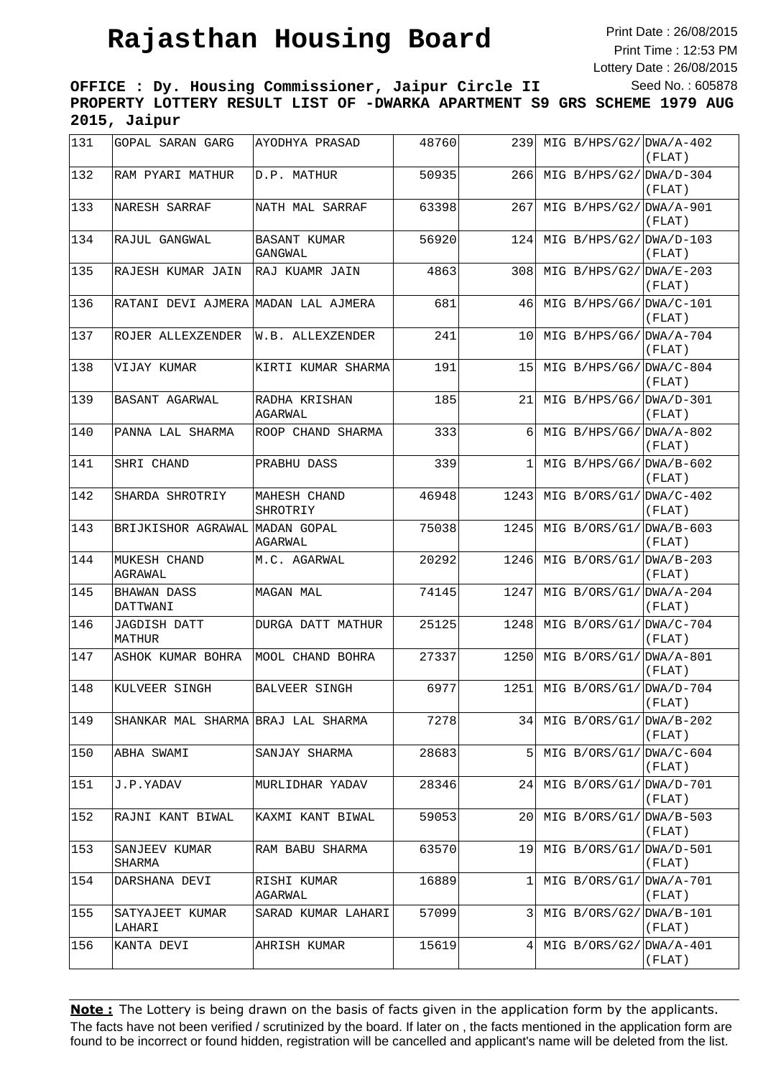Print Date : 26/08/2015 Print Time : 12:53 PM Lottery Date : 26/08/2015 Seed No. : 605878

**OFFICE : Dy. Housing Commissioner, Jaipur Circle II PROPERTY LOTTERY RESULT LIST OF -DWARKA APARTMENT S9 GRS SCHEME 1979 AUG 2015, Jaipur**

| 131 | GOPAL SARAN GARG                      | AYODHYA PRASAD                 | 48760 | 239  | MIG $B/HPS/G2/ DNA/A-402$ | (FLAT)                |
|-----|---------------------------------------|--------------------------------|-------|------|---------------------------|-----------------------|
| 132 | RAM PYARI MATHUR                      | D.P. MATHUR                    | 50935 | 266  | MIG $B/HPS/G2/DWA/D-304$  | (FLAT)                |
| 133 | NARESH SARRAF                         | NATH MAL SARRAF                | 63398 | 267  | MIG $B/HPS/G2/DWA/A-901$  | (FLAT)                |
| 134 | RAJUL GANGWAL                         | <b>BASANT KUMAR</b><br>GANGWAL | 56920 | 124  | MIG $B/HPS/G2/DWA/D-103$  | (FLAT)                |
| 135 | RAJESH KUMAR JAIN                     | RAJ KUAMR JAIN                 | 4863  | 308  | MIG $B/HPS/G2/DWA/E-203$  | (FLAT)                |
| 136 | RATANI DEVI AJMERA MADAN LAL AJMERA   |                                | 681   | 46   | MIG B/HPS/G6/DWA/C-101    | (FLAT)                |
| 137 | ROJER ALLEXZENDER                     | W.B. ALLEXZENDER               | 241   | 10   | MIG $B/HPS/G6/DWA/A-704$  | (FLAT)                |
| 138 | VIJAY KUMAR                           | KIRTI KUMAR SHARMA             | 191   | 15   | MIG B/HPS/G6/ DWA/C-804   | (FLAT)                |
| 139 | BASANT AGARWAL                        | RADHA KRISHAN<br>AGARWAL       | 185   | 21   | MIG B/HPS/G6/ DWA/D-301   | (FLAT)                |
| 140 | PANNA LAL SHARMA                      | ROOP CHAND SHARMA              | 333   | 6    | MIG $B/HPS/G6/DWA/A-802$  | (FLAT)                |
| 141 | SHRI CHAND                            | PRABHU DASS                    | 339   | 1    | MIG B/HPS/G6/ $DWA/B-602$ | (FLAT)                |
| 142 | SHARDA SHROTRIY                       | MAHESH CHAND<br>SHROTRIY       | 46948 | 1243 | MIG B/ORS/G1/             | $DWA/C-402$<br>(FLAT) |
| 143 | BRIJKISHOR AGRAWAL MADAN GOPAL        | AGARWAL                        | 75038 | 1245 | MIG $B/ORS/G1/ DWA/B-603$ | (FLAT)                |
| 144 | MUKESH CHAND<br>AGRAWAL               | M.C. AGARWAL                   | 20292 | 1246 | MIG $B/ORS/G1/ DWA/B-203$ | (FLAT)                |
| 145 | <b>BHAWAN DASS</b><br><b>DATTWANI</b> | <b>MAGAN MAL</b>               | 74145 | 1247 | MIG $B/ORS/G1/ DWA/A-204$ | (FLAT)                |
| 146 | JAGDISH DATT<br>MATHUR                | DURGA DATT MATHUR              | 25125 | 1248 | MIG $B/ORS/G1/ DWA/C-704$ | (FLAT)                |
| 147 | ASHOK KUMAR BOHRA                     | MOOL CHAND BOHRA               | 27337 | 1250 | MIG B/ORS/G1/DWA/A-801    | (FLAT)                |
| 148 | KULVEER SINGH                         | <b>BALVEER SINGH</b>           | 6977  | 1251 | MIG B/ORS/G1/             | $DWA/D-704$<br>(FLAT) |
| 149 | SHANKAR MAL SHARMA BRAJ LAL SHARMA    |                                | 7278  | 34   | MIG $B/ORS/G1/ DWA/B-202$ | (FLAT)                |
| 150 | ABHA SWAMI                            | SANJAY SHARMA                  | 28683 | 5    | MIG $B/ORS/G1/DWA/C-604$  | (FLAT)                |
| 151 | J.P.YADAV                             | MURLIDHAR YADAV                | 28346 | 24   | $MIG B/ORS/G1/IDWA/D-701$ | (FLAT)                |
| 152 | RAJNI KANT BIWAL                      | KAXMI KANT BIWAL               | 59053 | 20   | MIG $B/ORS/G1/ DWA/B-503$ | (FLAT)                |
| 153 | SANJEEV KUMAR<br>SHARMA               | RAM BABU SHARMA                | 63570 | 19   | MIG B/ORS/G1/             | DWA/D-501<br>(FLAT)   |
| 154 | DARSHANA DEVI                         | RISHI KUMAR<br>AGARWAL         | 16889 | 1    | MIG $B/ORS/G1/ DWA/A-701$ | (FLAT)                |
| 155 | SATYAJEET KUMAR<br>LAHARI             | SARAD KUMAR LAHARI             | 57099 | 3    | MIG $B/ORS/G2/ DWA/B-101$ | (FLAT)                |
| 156 | KANTA DEVI                            | AHRISH KUMAR                   | 15619 | 4    | MIG $B/ORS/G2/DWA/A-401$  | (FLAT)                |